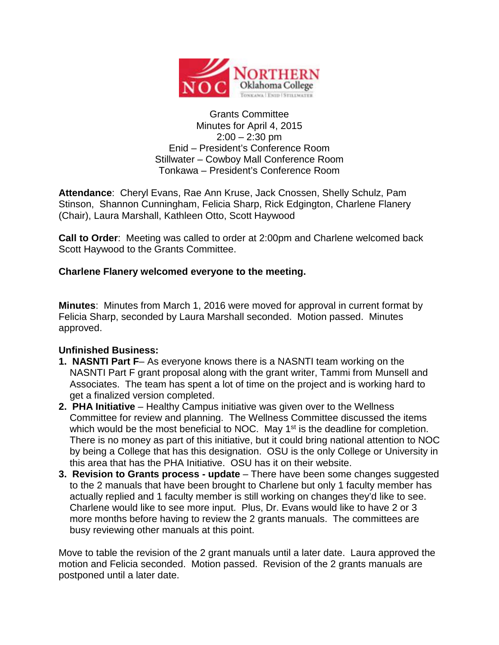

#### Grants Committee Minutes for April 4, 2015  $2:00 - 2:30$  pm Enid – President's Conference Room Stillwater – Cowboy Mall Conference Room Tonkawa – President's Conference Room

**Attendance**: Cheryl Evans, Rae Ann Kruse, Jack Cnossen, Shelly Schulz, Pam Stinson, Shannon Cunningham, Felicia Sharp, Rick Edgington, Charlene Flanery (Chair), Laura Marshall, Kathleen Otto, Scott Haywood

**Call to Order**: Meeting was called to order at 2:00pm and Charlene welcomed back Scott Haywood to the Grants Committee.

## **Charlene Flanery welcomed everyone to the meeting.**

**Minutes**: Minutes from March 1, 2016 were moved for approval in current format by Felicia Sharp, seconded by Laura Marshall seconded. Motion passed. Minutes approved.

# **Unfinished Business:**

- **1. NASNTI Part F** As everyone knows there is a NASNTI team working on the NASNTI Part F grant proposal along with the grant writer, Tammi from Munsell and Associates. The team has spent a lot of time on the project and is working hard to get a finalized version completed.
- **2. PHA Initiative** Healthy Campus initiative was given over to the Wellness Committee for review and planning. The Wellness Committee discussed the items which would be the most beneficial to NOC. May  $1<sup>st</sup>$  is the deadline for completion. There is no money as part of this initiative, but it could bring national attention to NOC by being a College that has this designation. OSU is the only College or University in this area that has the PHA Initiative. OSU has it on their website.
- **3. Revision to Grants process - update** There have been some changes suggested to the 2 manuals that have been brought to Charlene but only 1 faculty member has actually replied and 1 faculty member is still working on changes they'd like to see. Charlene would like to see more input. Plus, Dr. Evans would like to have 2 or 3 more months before having to review the 2 grants manuals. The committees are busy reviewing other manuals at this point.

Move to table the revision of the 2 grant manuals until a later date. Laura approved the motion and Felicia seconded. Motion passed. Revision of the 2 grants manuals are postponed until a later date.